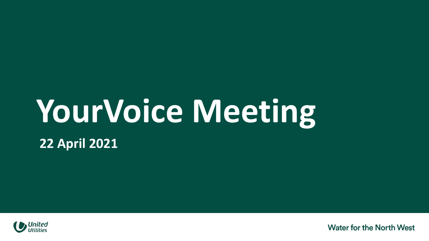## **YourVoice Meeting**

**22 April 2021**



**Water for the North West**